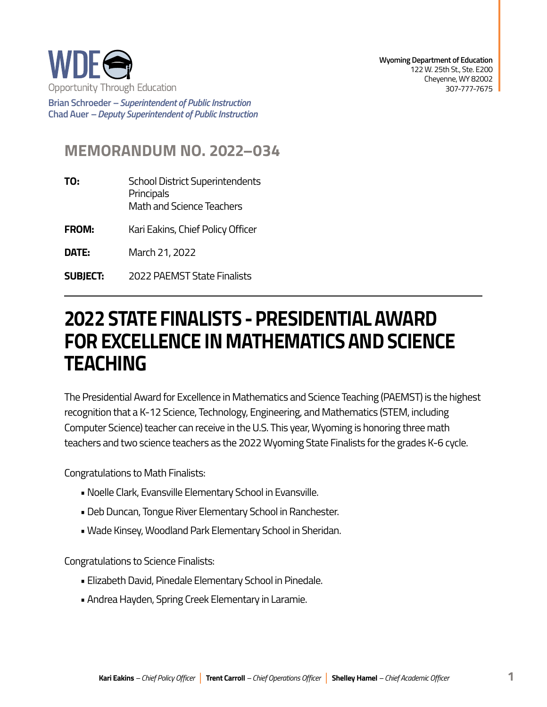

**Wyoming Department of Education**  122 W. 25th St., Ste. E200 Cheyenne, WY 82002 307-777-7675

**Brian Schroeder –***Superintendent of Public Instruction*  **Chad Auer** *– Deputy Superintendent of Public Instruction* 

## **MEMORANDUM NO. 2022–034**

**TO:** School District Superintendents **Principals** Math and Science Teachers

**FROM:** Kari Eakins, Chief Policy Officer

**DATE:** March 21, 2022

**SUBJECT: SUBJECT:** 2022 PAEMST State Finalists

## **2022 STATE FINALISTS - PRESIDENTIAL AWARD FOR EXCELLENCE IN MATHEMATICS AND SCIENCE TEACHING**

The Presidential Award for Excellence in Mathematics and Science Teaching (PAEMST) is the highest recognition that a K-12 Science, Technology, Engineering, and Mathematics (STEM, including Computer Science) teacher can receive in the U.S. This year, Wyoming is honoring three math teachers and two science teachers as the 2022 Wyoming State Finalists for the grades K-6 cycle.

Congratulations to Math Finalists:

- Noelle Clark, Evansville Elementary School in Evansville.
- Deb Duncan, Tongue River Elementary School in Ranchester.
- Wade Kinsey, Woodland Park Elementary School in Sheridan.

Congratulations to Science Finalists:

- Elizabeth David, Pinedale Elementary School in Pinedale.
- Andrea Hayden, Spring Creek Elementary in Laramie.